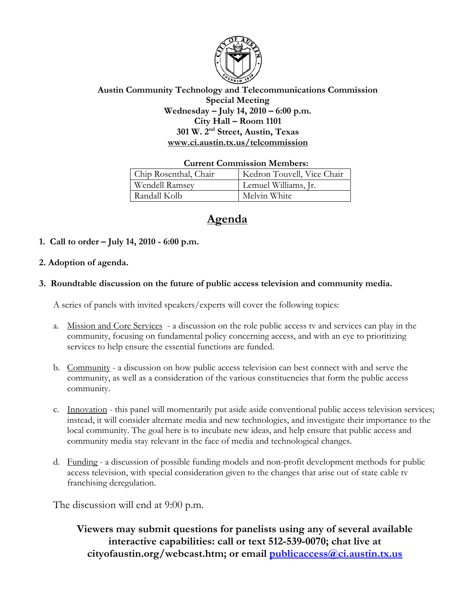

## **Austin Community Technology and Telecommunications Commission Special Meeting Wednesday – July 14, 2010 – 6:00 p.m. City Hall – Room 1101 301 W. 2nd Street, Austin, Texas www.ci.austin.tx.us/telcommission**

#### **Current Commission Members:**

| Chip Rosenthal, Chair | Kedron Touvell, Vice Chair |
|-----------------------|----------------------------|
| Wendell Ramsey        | Lemuel Williams, Jr.       |
| Randall Kolb          | Melvin White               |

# **Agenda**

**1. Call to order – July 14, 2010 - 6:00 p.m.** 

## **2. Adoption of agenda.**

## **3. Roundtable discussion on the future of public access television and community media.**

A series of panels with invited speakers/experts will cover the following topics:

- a. Mission and Core Services a discussion on the role public access tv and services can play in the community, focusing on fundamental policy concerning access, and with an eye to prioritizing services to help ensure the essential functions are funded.
- b. Community a discussion on how public access television can best connect with and serve the community, as well as a consideration of the various constituencies that form the public access community.
- c. Innovation this panel will momentarily put aside aside conventional public access television services; instead, it will consider alternate media and new technologies, and investigate their importance to the local community. The goal here is to incubate new ideas, and help ensure that public access and community media stay relevant in the face of media and technological changes.
- d. Funding a discussion of possible funding models and non-profit development methods for public access television, with special consideration given to the changes that arise out of state cable tv franchising deregulation.

The discussion will end at 9:00 p.m.

**Viewers may submit questions for panelists using any of several available interactive capabilities: call or text 512-539-0070; chat live at cityofaustin.org/webcast.htm; or email publicaccess@ci.austin.tx.us**